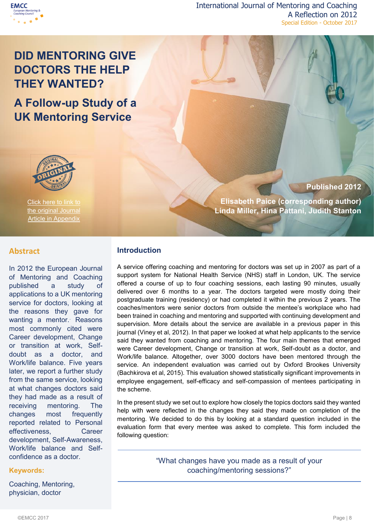

International Journal of Mentoring and Coaching A Reflection on 2012 Special Edition - October 2017

# **DID MENTORING GIVE DOCTORS THE HELP THEY WANTED?**

**A Follow-up Study of a UK Mentoring Service**



Click here to link to the original Journal **Article in Appendix** 

## **Published 2012**

**Elisabeth Paice (corresponding author) Linda Miller, Hina Pattani, Judith Stanton**

#### **Abstract** DID MENTORING

In 2012 the European Journal of Mentoring and Coaching published a study of applications to a UK mentoring service for doctors, looking at the reasons they gave for wanting a mentor. Reasons most commonly cited were Career development, Change or transition at work, Selfdoubt as a doctor, and Work/life balance. Five years later, we report a further study from the same service, looking at what changes doctors said they had made as a result of receiving mentoring. The changes most frequently reported related to Personal effectiveness, Career development, Self-Awareness, Work/life balance and Selfconfidence as a doctor.

## **Keywords:**

Coaching, Mentoring, physician, doctor

# **Introduction**

A service offering coaching and mentoring for doctors was set up in 2007 as part of a support system for National Health Service (NHS) staff in London, UK. The service offered a course of up to four coaching sessions, each lasting 90 minutes, usually delivered over 6 months to a year. The doctors targeted were mostly doing their postgraduate training (residency) or had completed it within the previous 2 years. The coaches/mentors were senior doctors from outside the mentee's workplace who had been trained in coaching and mentoring and supported with continuing development and supervision. More details about the service are available in a previous paper in this journal (Viney et al, 2012). In that paper we looked at what help applicants to the service said they wanted from coaching and mentoring. The four main themes that emerged were Career development, Change or transition at work, Self-doubt as a doctor, and Work/life balance. Altogether, over 3000 doctors have been mentored through the service. An independent evaluation was carried out by Oxford Brookes University (Bachkirova et al, 2015). This evaluation showed statistically significant improvements in employee engagement, self-efficacy and self-compassion of mentees participating in the scheme.

In the present study we set out to explore how closely the topics doctors said they wanted help with were reflected in the changes they said they made on completion of the mentoring. We decided to do this by looking at a standard question included in the evaluation form that every mentee was asked to complete. This form included the following question:

> "What changes have you made as a result of your coaching/mentoring sessions?"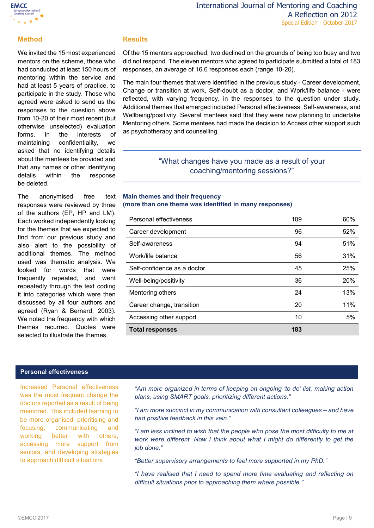

## **Method**

We invited the 15 most experienced mentors on the scheme, those who had conducted at least 150 hours of mentoring within the service and had at least 5 years of practice, to participate in the study. Those who agreed were asked to send us the responses to the question above from 10-20 of their most recent (but otherwise unselected) evaluation forms. In the interests of maintaining confidentiality, we asked that no identifying details about the mentees be provided and that any names or other identifying details within the response be deleted.

The anonymised free text responses were reviewed by three of the authors (EP, HP and LM). Each worked independently looking for the themes that we expected to find from our previous study and also alert to the possibility of additional themes. The method used was thematic analysis. We looked for words that were frequently repeated, and went repeatedly through the text coding it into categories which were then discussed by all four authors and agreed (Ryan & Bernard, 2003). We noted the frequency with which themes recurred. Quotes were selected to illustrate the themes.

# **Results**

Of the 15 mentors approached, two declined on the grounds of being too busy and two did not respond. The eleven mentors who agreed to participate submitted a total of 183 responses, an average of 16.6 responses each (range 10-20).

The main four themes that were identified in the previous study - Career development, Change or transition at work, Self-doubt as a doctor, and Work/life balance - were reflected, with varying frequency, in the responses to the question under study. Additional themes that emerged included Personal effectiveness, Self-awareness, and Wellbeing/positivity. Several mentees said that they were now planning to undertake Mentoring others. Some mentees had made the decision to Access other support such as psychotherapy and counselling.

# "What changes have you made as a result of your coaching/mentoring sessions?"

### **Main themes and their frequency (more than one theme was identified in many responses)**

| Personal effectiveness      | 109 | 60% |
|-----------------------------|-----|-----|
| Career development          | 96  | 52% |
| Self-awareness              | 94  | 51% |
| Work/life balance           | 56  | 31% |
| Self-confidence as a doctor | 45  | 25% |
| Well-being/positivity       | 36  | 20% |
| Mentoring others            | 24  | 13% |
| Career change, transition   | 20  | 11% |
| Accessing other support     | 10  | 5%  |
| <b>Total responses</b>      | 183 |     |

#### **Personal effectiveness**

Increased Personal effectiveness was the most frequent change the doctors reported as a result of being mentored. This included learning to be more organised, prioritising and focusing, communicating and working better with others, accessing more support from seniors, and developing strategies to approach difficult situations

*"Am more organized in terms of keeping an ongoing 'to do' list, making action plans, using SMART goals, prioritizing different actions."*

*"I am more succinct in my communication with consultant colleagues – and have had positive feedback in this vein."*

*"I am less inclined to wish that the people who pose the most difficulty to me at*  work were different. Now I think about what I might do differently to get the *job done."*

*"Better supervisory arrangements to feel more supported in my PhD."*

*"I have realised that I need to spend more time evaluating and reflecting on difficult situations prior to approaching them where possible."*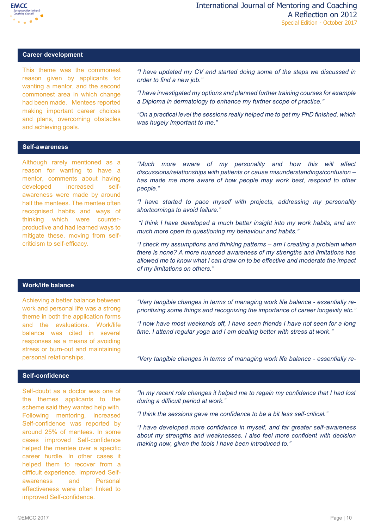

## **Career development**

This theme was the commonest reason given by applicants for wanting a mentor, and the second commonest area in which change had been made. Mentees reported making important career choices and plans, overcoming obstacles and achieving goals.

*"I have updated my CV and started doing some of the steps we discussed in order to find a new job."* 

*"I have investigated my options and planned further training courses for example a Diploma in dermatology to enhance my further scope of practice."*

*"On a practical level the sessions really helped me to get my PhD finished, which was hugely important to me."*

#### **Self-awareness**

Although rarely mentioned as a reason for wanting to have a mentor, comments about having developed increased selfawareness were made by around half the mentees. The mentee often recognised habits and ways of thinking which were counterproductive and had learned ways to mitigate these, moving from selfcriticism to self-efficacy.

*"Much more aware of my personality and how this will affect discussions/relationships with patients or cause misunderstandings/confusion – has made me more aware of how people may work best, respond to other people."*

*"I have started to pace myself with projects, addressing my personality shortcomings to avoid failure."*

*"I think I have developed a much better insight into my work habits, and am much more open to questioning my behaviour and habits."*

*"I check my assumptions and thinking patterns – am I creating a problem when there is none? A more nuanced awareness of my strengths and limitations has allowed me to know what I can draw on to be effective and moderate the impact of my limitations on others."*

## **Work/life balance**

Achieving a better balance between work and personal life was a strong theme in both the application forms and the evaluations. Work/life balance was cited in several responses as a means of avoiding stress or burn-out and maintaining personal relationships.

*"Very tangible changes in terms of managing work life balance - essentially reprioritizing some things and recognizing the importance of career longevity etc."*

*"I now have most weekends off, I have seen friends I have not seen for a long time. I attend regular yoga and I am dealing better with stress at work."*

*"Very tangible changes in terms of managing work life balance - essentially reprioritizing some things and recognizing the importance of career longevity etc."*

## **Self-confidence**

Self-doubt as a doctor was one of the themes applicants to the scheme said they wanted help with. Following mentoring, increased Self-confidence was reported by around 25% of mentees. In some cases improved Self-confidence helped the mentee over a specific career hurdle. In other cases it helped them to recover from a difficult experience. Improved Selfawareness and Personal effectiveness were often linked to improved Self-confidence.

*"In my recent role changes it helped me to regain my confidence that I had lost during a difficult period at work."* 

*"I think the sessions gave me confidence to be a bit less self-critical."* 

*"I have developed more confidence in myself, and far greater self-awareness about my strengths and weaknesses. I also feel more confident with decision making now, given the tools I have been introduced to."*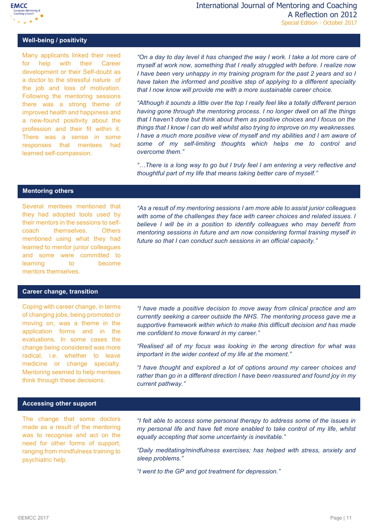

## **Well-being / positivity**

Many applicants linked their need for help with their Career development or their Self-doubt as a doctor to the stressful nature of the job and loss of motivation. Following the mentoring sessions there was a strong theme of improved health and happiness and a new-found positivity about the profession and their fit within it. There was a sense in some responses that mentees had learned self-compassion.

"On a day to day level it has changed the way I work. I take a lot more care of *myself at work now, something that I really struggled with before. I realize now I have been very unhappy in my training program for the past 2 years and so I have taken the informed and positive step of applying to a different speciality that I now know will provide me with a more sustainable career choice.* 

*"Although it sounds a little over the top I really feel like a totally different person having gone through the mentoring process. I no longer dwell on all the things that I haven't done but think about them as positive choices and I focus on the things that I know I can do well whilst also trying to improve on my weaknesses. I have a much more positive view of myself and my abilities and I am aware of some of my self-limiting thoughts which helps me to control and overcome them."* 

*"…There is a long way to go but I truly feel I am entering a very reflective and thoughtful part of my life that means taking better care of myself."*

#### **Mentoring others**

Several mentees mentioned that they had adopted tools used by their mentors in the sessions to selfcoach themselves. Others mentioned using what they had learned to mentor junior colleagues and some were committed to learning to become mentors themselves.

*"As a result of my mentoring sessions I am more able to assist junior colleagues*  with some of the challenges they face with career choices and related issues. I *believe I will be in a position to identify colleagues who may benefit from mentoring sessions in future and am now considering formal training myself in future so that I can conduct such sessions in an official capacity."*

#### **Career change, transition**

Coping with career change, in terms of changing jobs, being promoted or moving on, was a theme in the application forms and in the evaluations. In some cases the change being considered was more radical, i.e. whether to leave medicine or change specialty. Mentoring seemed to help mentees think through these decisions.

*"I have made a positive decision to move away from clinical practice and am currently seeking a career outside the NHS. The mentoring process gave me a supportive framework within which to make this difficult decision and has made me confident to move forward in my career."* 

*"Realised all of my focus was looking in the wrong direction for what was important in the wider context of my life at the moment."*

*"I have thought and explored a lot of options around my career choices and rather than go in a different direction I have been reassured and found joy in my current pathway."*

#### **Accessing other support**

The change that some doctors made as a result of the mentoring was to recognise and act on the need for other forms of support, ranging from mindfulness training to psychiatric help.

*"I felt able to access some personal therapy to address some of the issues in my personal life and have felt more enabled to take control of my life, whilst equally accepting that some uncertainty is inevitable."*

*"Daily meditating/mindfulness exercises; has helped with stress, anxiety and sleep problems."*

*"I went to the GP and got treatment for depression."*